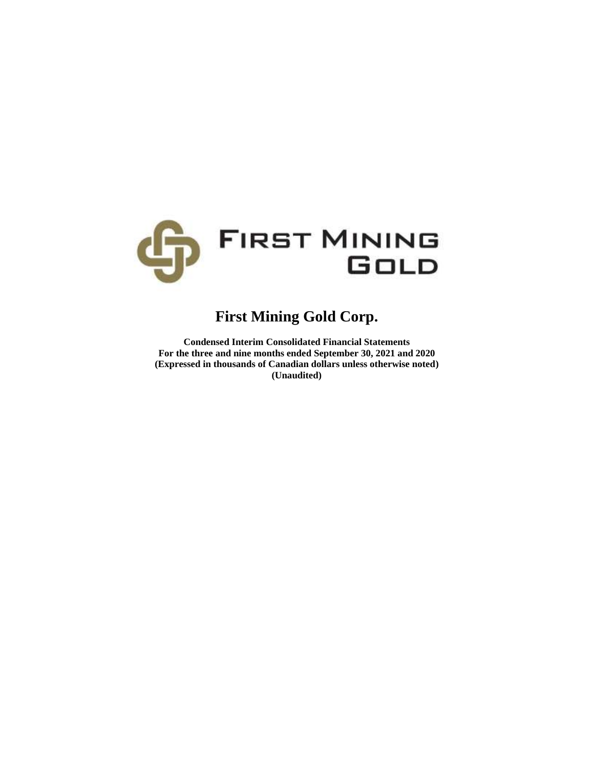

# **First Mining Gold Corp.**

**Condensed Interim Consolidated Financial Statements For the three and nine months ended September 30, 2021 and 2020 (Expressed in thousands of Canadian dollars unless otherwise noted) (Unaudited)**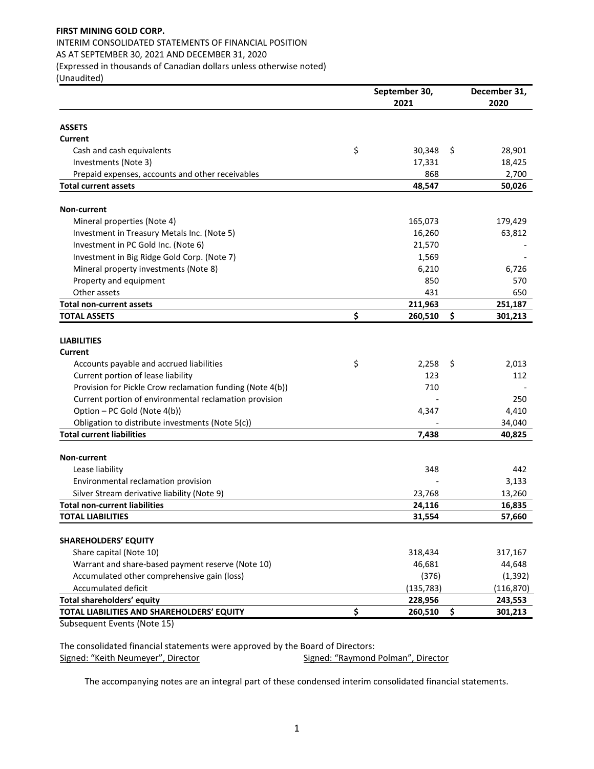# **FIRST MINING GOLD CORP.**  INTERIM CONSOLIDATED STATEMENTS OF FINANCIAL POSITION AS AT SEPTEMBER 30, 2021 AND DECEMBER 31, 2020 (Expressed in thousands of Canadian dollars unless otherwise noted)

(Unaudited)

|                                                           | September 30, | December 31,  |
|-----------------------------------------------------------|---------------|---------------|
|                                                           | 2021          | 2020          |
| <b>ASSETS</b>                                             |               |               |
| Current                                                   |               |               |
| Cash and cash equivalents                                 | \$<br>30,348  | \$<br>28,901  |
| Investments (Note 3)                                      | 17,331        | 18,425        |
| Prepaid expenses, accounts and other receivables          | 868           | 2,700         |
| <b>Total current assets</b>                               | 48,547        | 50,026        |
|                                                           |               |               |
| <b>Non-current</b>                                        |               |               |
| Mineral properties (Note 4)                               | 165,073       | 179,429       |
| Investment in Treasury Metals Inc. (Note 5)               | 16,260        | 63,812        |
| Investment in PC Gold Inc. (Note 6)                       | 21,570        |               |
| Investment in Big Ridge Gold Corp. (Note 7)               | 1,569         |               |
| Mineral property investments (Note 8)                     | 6,210         | 6,726         |
| Property and equipment                                    | 850           | 570           |
| Other assets                                              | 431           | 650           |
| <b>Total non-current assets</b>                           | 211,963       | 251,187       |
| <b>TOTAL ASSETS</b>                                       | \$<br>260,510 | \$<br>301,213 |
| <b>LIABILITIES</b>                                        |               |               |
| <b>Current</b>                                            |               |               |
| Accounts payable and accrued liabilities                  | \$<br>2,258   | \$<br>2,013   |
| Current portion of lease liability                        | 123           | 112           |
| Provision for Pickle Crow reclamation funding (Note 4(b)) | 710           |               |
| Current portion of environmental reclamation provision    |               | 250           |
| Option - PC Gold (Note 4(b))                              | 4,347         | 4,410         |
| Obligation to distribute investments (Note 5(c))          |               | 34,040        |
| <b>Total current liabilities</b>                          | 7,438         | 40,825        |
|                                                           |               |               |
| Non-current                                               |               |               |
| Lease liability                                           | 348           | 442           |
| Environmental reclamation provision                       |               | 3,133         |
| Silver Stream derivative liability (Note 9)               | 23,768        | 13,260        |
| <b>Total non-current liabilities</b>                      | 24,116        | 16,835        |
| <b>TOTAL LIABILITIES</b>                                  | 31,554        | 57,660        |
|                                                           |               |               |
| <b>SHAREHOLDERS' EQUITY</b>                               |               |               |
| Share capital (Note 10)                                   | 318,434       | 317,167       |
| Warrant and share-based payment reserve (Note 10)         | 46,681        | 44,648        |
| Accumulated other comprehensive gain (loss)               | (376)         | (1, 392)      |
| Accumulated deficit                                       | (135, 783)    | (116, 870)    |
| Total shareholders' equity                                | 228,956       | 243,553       |
| TOTAL LIABILITIES AND SHAREHOLDERS' EQUITY                | \$<br>260,510 | \$<br>301,213 |

Subsequent Events (Note 15)

The consolidated financial statements were approved by the Board of Directors: Signed: "Keith Neumeyer", Director Signed: "Raymond Polman", Director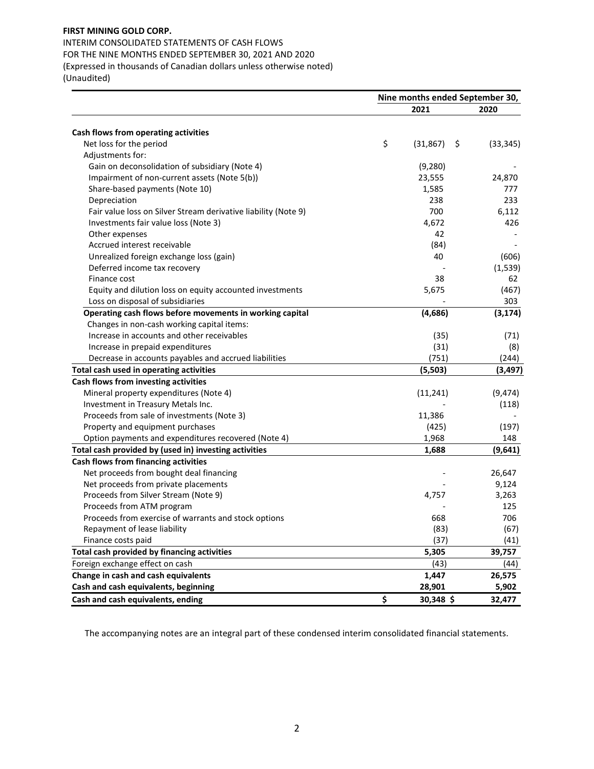INTERIM CONSOLIDATED STATEMENTS OF CASH FLOWS FOR THE NINE MONTHS ENDED SEPTEMBER 30, 2021 AND 2020 (Expressed in thousands of Canadian dollars unless otherwise noted) (Unaudited)

|                                                                | Nine months ended September 30, |                 |           |  |  |  |
|----------------------------------------------------------------|---------------------------------|-----------------|-----------|--|--|--|
|                                                                |                                 | 2021            | 2020      |  |  |  |
| Cash flows from operating activities                           |                                 |                 |           |  |  |  |
| Net loss for the period                                        | \$                              | (31, 867)<br>\$ | (33, 345) |  |  |  |
| Adjustments for:                                               |                                 |                 |           |  |  |  |
| Gain on deconsolidation of subsidiary (Note 4)                 |                                 | (9,280)         |           |  |  |  |
| Impairment of non-current assets (Note 5(b))                   |                                 | 23,555          | 24,870    |  |  |  |
| Share-based payments (Note 10)                                 |                                 | 1,585           | 777       |  |  |  |
| Depreciation                                                   |                                 | 238             | 233       |  |  |  |
| Fair value loss on Silver Stream derivative liability (Note 9) |                                 | 700             | 6,112     |  |  |  |
| Investments fair value loss (Note 3)                           |                                 | 4,672           | 426       |  |  |  |
| Other expenses                                                 |                                 | 42              |           |  |  |  |
| Accrued interest receivable                                    |                                 | (84)            |           |  |  |  |
| Unrealized foreign exchange loss (gain)                        |                                 | 40              | (606)     |  |  |  |
| Deferred income tax recovery                                   |                                 |                 | (1, 539)  |  |  |  |
| Finance cost                                                   |                                 | 38              | 62        |  |  |  |
| Equity and dilution loss on equity accounted investments       |                                 | 5,675           | (467)     |  |  |  |
| Loss on disposal of subsidiaries                               |                                 |                 | 303       |  |  |  |
| Operating cash flows before movements in working capital       |                                 | (4,686)         | (3, 174)  |  |  |  |
| Changes in non-cash working capital items:                     |                                 |                 |           |  |  |  |
| Increase in accounts and other receivables                     |                                 | (35)            | (71)      |  |  |  |
| Increase in prepaid expenditures                               |                                 | (31)            | (8)       |  |  |  |
| Decrease in accounts payables and accrued liabilities          |                                 | (751)           | (244)     |  |  |  |
| Total cash used in operating activities                        |                                 | (5,503)         | (3, 497)  |  |  |  |
| Cash flows from investing activities                           |                                 |                 |           |  |  |  |
| Mineral property expenditures (Note 4)                         |                                 | (11, 241)       | (9, 474)  |  |  |  |
| Investment in Treasury Metals Inc.                             |                                 |                 | (118)     |  |  |  |
| Proceeds from sale of investments (Note 3)                     |                                 | 11,386          |           |  |  |  |
| Property and equipment purchases                               |                                 | (425)           | (197)     |  |  |  |
| Option payments and expenditures recovered (Note 4)            |                                 | 1,968           | 148       |  |  |  |
| Total cash provided by (used in) investing activities          |                                 | 1,688           | (9,641)   |  |  |  |
| Cash flows from financing activities                           |                                 |                 |           |  |  |  |
| Net proceeds from bought deal financing                        |                                 |                 | 26,647    |  |  |  |
| Net proceeds from private placements                           |                                 |                 | 9,124     |  |  |  |
| Proceeds from Silver Stream (Note 9)                           |                                 | 4,757           | 3,263     |  |  |  |
| Proceeds from ATM program                                      |                                 |                 | 125       |  |  |  |
| Proceeds from exercise of warrants and stock options           |                                 | 668             | 706       |  |  |  |
| Repayment of lease liability                                   |                                 | (83)            | (67)      |  |  |  |
| Finance costs paid                                             |                                 | (37)            | (41)      |  |  |  |
|                                                                |                                 |                 |           |  |  |  |
| Total cash provided by financing activities                    |                                 | 5,305           | 39,757    |  |  |  |
| Foreign exchange effect on cash                                |                                 | (43)            | (44)      |  |  |  |
| Change in cash and cash equivalents                            |                                 | 1,447           | 26,575    |  |  |  |
| Cash and cash equivalents, beginning                           |                                 | 28,901          | 5,902     |  |  |  |
| Cash and cash equivalents, ending                              | \$                              | 30,348 \$       | 32,477    |  |  |  |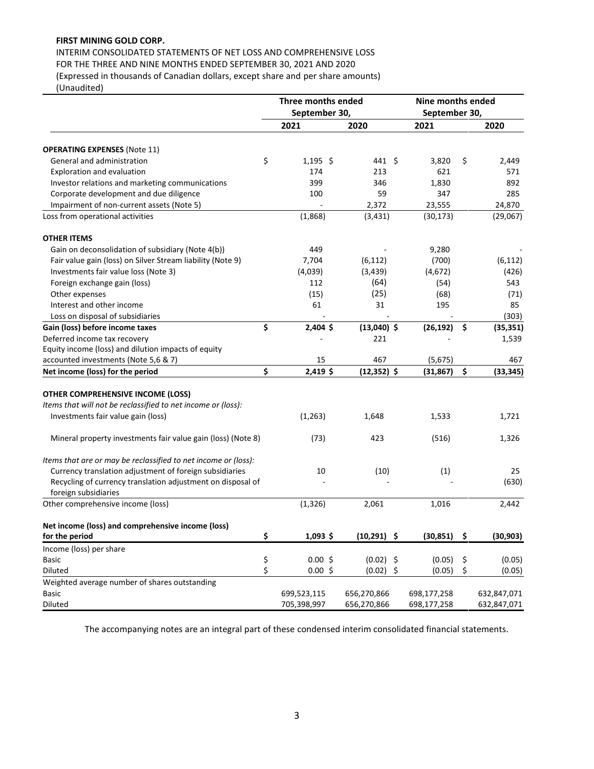INTERIM CONSOLIDATED STATEMENTS OF NET LOSS AND COMPREHENSIVE LOSS FOR THE THREE AND NINE MONTHS ENDED SEPTEMBER 30, 2021 AND 2020

(Expressed in thousands of Canadian dollars, except share and per share amounts)

(Unaudited)

|                                                                     |          | Three months ended<br>September 30, |                | <b>Nine months ended</b><br>September 30, |    |             |
|---------------------------------------------------------------------|----------|-------------------------------------|----------------|-------------------------------------------|----|-------------|
|                                                                     |          | 2021                                | 2020           | 2021                                      |    | 2020        |
|                                                                     |          |                                     |                |                                           |    |             |
| <b>OPERATING EXPENSES (Note 11)</b>                                 |          |                                     |                |                                           |    |             |
| General and administration                                          | \$       | $1,195$ \$                          | 441 \$         | 3,820                                     | \$ | 2,449       |
| Exploration and evaluation                                          |          | 174                                 | 213            | 621                                       |    | 571         |
| Investor relations and marketing communications                     |          | 399                                 | 346            | 1,830                                     |    | 892         |
| Corporate development and due diligence                             |          | 100                                 | 59             | 347                                       |    | 285         |
| Impairment of non-current assets (Note 5)                           |          |                                     | 2,372          | 23,555                                    |    | 24,870      |
| Loss from operational activities                                    |          | (1,868)                             | (3, 431)       | (30, 173)                                 |    | (29,067)    |
| <b>OTHER ITEMS</b>                                                  |          |                                     |                |                                           |    |             |
| Gain on deconsolidation of subsidiary (Note 4(b))                   |          | 449                                 |                | 9,280                                     |    |             |
| Fair value gain (loss) on Silver Stream liability (Note 9)          |          | 7,704                               | (6, 112)       | (700)                                     |    | (6, 112)    |
| Investments fair value loss (Note 3)                                |          | (4,039)                             | (3, 439)       | (4,672)                                   |    | (426)       |
| Foreign exchange gain (loss)                                        |          | 112                                 | (64)           | (54)                                      |    | 543         |
| Other expenses                                                      |          | (15)                                | (25)           | (68)                                      |    | (71)        |
| Interest and other income                                           |          | 61                                  | 31             | 195                                       |    | 85          |
| Loss on disposal of subsidiaries                                    |          |                                     |                |                                           |    | (303)       |
| Gain (loss) before income taxes                                     | \$       | 2,404 \$                            | $(13,040)$ \$  | (26, 192)                                 | \$ | (35, 351)   |
| Deferred income tax recovery                                        |          |                                     | 221            |                                           |    | 1,539       |
| Equity income (loss) and dilution impacts of equity                 |          |                                     |                |                                           |    |             |
| accounted investments (Note 5,6 & 7)                                |          | 15                                  | 467            | (5,675)                                   |    | 467         |
| Net income (loss) for the period                                    | \$       | 2,419\$                             | $(12, 352)$ \$ | (31, 867)                                 | \$ | (33, 345)   |
| OTHER COMPREHENSIVE INCOME (LOSS)                                   |          |                                     |                |                                           |    |             |
| Items that will not be reclassified to net income or (loss):        |          |                                     |                |                                           |    |             |
| Investments fair value gain (loss)                                  |          | (1, 263)                            | 1,648          | 1,533                                     |    | 1,721       |
|                                                                     |          |                                     |                |                                           |    |             |
| Mineral property investments fair value gain (loss) (Note 8)        |          | (73)                                | 423            | (516)                                     |    | 1,326       |
| Items that are or may be reclassified to net income or (loss):      |          |                                     |                |                                           |    |             |
| Currency translation adjustment of foreign subsidiaries             |          | 10                                  | (10)           | (1)                                       |    | 25          |
| Recycling of currency translation adjustment on disposal of         |          |                                     |                |                                           |    | (630)       |
| foreign subsidiaries                                                |          |                                     |                |                                           |    |             |
| Other comprehensive income (loss)                                   |          | (1, 326)                            | 2,061          | 1,016                                     |    | 2,442       |
|                                                                     |          |                                     |                |                                           |    |             |
| Net income (loss) and comprehensive income (loss)<br>for the period | \$       | 1,093\$                             | $(10, 291)$ \$ | (30, 851)                                 | \$ | (30, 903)   |
|                                                                     |          |                                     |                |                                           |    |             |
| Income (loss) per share                                             |          |                                     |                |                                           |    |             |
| <b>Basic</b>                                                        | \$<br>\$ | 0.00%                               | $(0.02)$ \$    | (0.05)                                    | \$ | (0.05)      |
| Diluted                                                             |          | 0.00%                               | $(0.02)$ \$    | (0.05)                                    | \$ | (0.05)      |
| Weighted average number of shares outstanding                       |          |                                     |                |                                           |    |             |
| <b>Basic</b>                                                        |          | 699,523,115                         | 656,270,866    | 698,177,258                               |    | 632,847,071 |
| Diluted                                                             |          | 705,398,997                         | 656,270,866    | 698,177,258                               |    | 632,847,071 |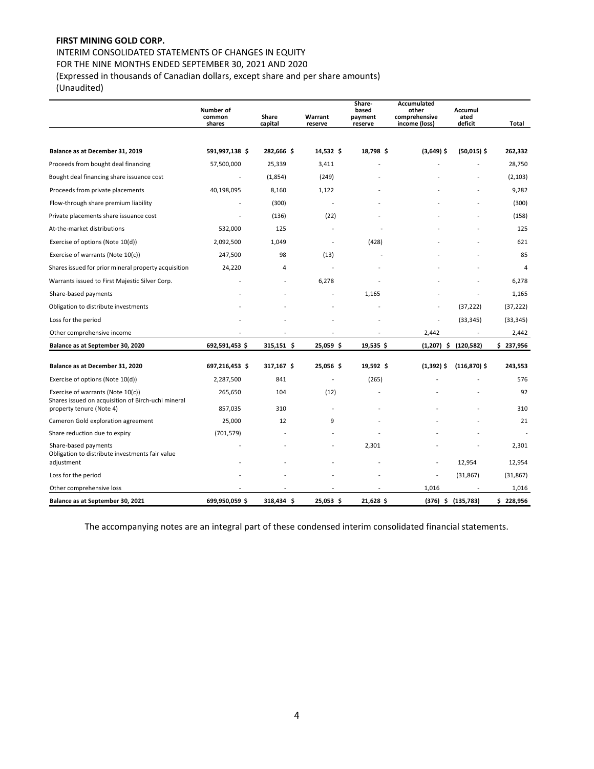# INTERIM CONSOLIDATED STATEMENTS OF CHANGES IN EQUITY

FOR THE NINE MONTHS ENDED SEPTEMBER 30, 2021 AND 2020

(Expressed in thousands of Canadian dollars, except share and per share amounts)

(Unaudited)

|                                                                                         | Number of<br>common<br>shares | Share<br>capital | Warrant<br>reserve       | Share-<br>based<br>payment<br>reserve | Accumulated<br>other<br>comprehensive<br>income (loss) | Accumul<br>ated<br>deficit | Total     |
|-----------------------------------------------------------------------------------------|-------------------------------|------------------|--------------------------|---------------------------------------|--------------------------------------------------------|----------------------------|-----------|
|                                                                                         |                               |                  |                          |                                       |                                                        |                            |           |
| Balance as at December 31, 2019                                                         | 591,997,138 \$                | 282,666 \$       | 14,532 \$                | 18,798 \$                             | $(3,649)$ \$                                           | $(50,015)$ \$              | 262,332   |
| Proceeds from bought deal financing                                                     | 57,500,000                    | 25,339           | 3,411                    |                                       |                                                        |                            | 28,750    |
| Bought deal financing share issuance cost                                               |                               | (1,854)          | (249)                    |                                       |                                                        |                            | (2, 103)  |
| Proceeds from private placements                                                        | 40,198,095                    | 8,160            | 1,122                    |                                       |                                                        |                            | 9,282     |
| Flow-through share premium liability                                                    |                               | (300)            | $\overline{a}$           |                                       |                                                        |                            | (300)     |
| Private placements share issuance cost                                                  |                               | (136)            | (22)                     |                                       |                                                        |                            | (158)     |
| At-the-market distributions                                                             | 532,000                       | 125              |                          |                                       |                                                        |                            | 125       |
| Exercise of options (Note 10(d))                                                        | 2,092,500                     | 1,049            |                          | (428)                                 |                                                        |                            | 621       |
| Exercise of warrants (Note 10(c))                                                       | 247,500                       | 98               | (13)                     |                                       |                                                        |                            | 85        |
| Shares issued for prior mineral property acquisition                                    | 24,220                        | $\overline{4}$   |                          |                                       |                                                        |                            | 4         |
| Warrants issued to First Majestic Silver Corp.                                          |                               |                  | 6,278                    |                                       |                                                        |                            | 6,278     |
| Share-based payments                                                                    |                               |                  |                          | 1,165                                 |                                                        |                            | 1,165     |
| Obligation to distribute investments                                                    |                               |                  |                          |                                       |                                                        | (37, 222)                  | (37, 222) |
| Loss for the period                                                                     |                               |                  |                          |                                       |                                                        | (33, 345)                  | (33, 345) |
| Other comprehensive income                                                              |                               |                  |                          |                                       | 2,442                                                  | $\overline{\phantom{a}}$   | 2,442     |
| Balance as at September 30, 2020                                                        | 692,591,453 \$                | 315,151 \$       | 25,059 \$                | 19,535 \$                             |                                                        | $(1,207)$ \$ $(120,582)$   | \$237,956 |
| Balance as at December 31, 2020                                                         | 697,216,453 \$                | 317,167 \$       | 25,056\$                 | 19,592 \$                             | $(1,392)$ \$                                           | $(116, 870)$ \$            | 243,553   |
| Exercise of options (Note 10(d))                                                        | 2,287,500                     | 841              |                          | (265)                                 |                                                        |                            | 576       |
| Exercise of warrants (Note 10(c))<br>Shares issued on acquisition of Birch-uchi mineral | 265,650                       | 104              | (12)                     |                                       |                                                        |                            | 92        |
| property tenure (Note 4)                                                                | 857,035                       | 310              |                          |                                       |                                                        |                            | 310       |
| Cameron Gold exploration agreement                                                      | 25,000                        | 12               | 9                        |                                       |                                                        |                            | 21        |
| Share reduction due to expiry                                                           | (701, 579)                    |                  |                          |                                       |                                                        |                            |           |
| Share-based payments<br>Obligation to distribute investments fair value                 |                               |                  | $\overline{\phantom{a}}$ | 2,301                                 |                                                        |                            | 2,301     |
| adjustment                                                                              |                               |                  |                          |                                       | $\overline{\phantom{a}}$                               | 12,954                     | 12,954    |
| Loss for the period                                                                     |                               |                  |                          |                                       |                                                        | (31, 867)                  | (31, 867) |
| Other comprehensive loss                                                                |                               |                  |                          |                                       | 1,016                                                  |                            | 1,016     |
| Balance as at September 30, 2021                                                        | 699,950,059 \$                | 318,434 \$       | 25,053 \$                | 21,628 \$                             |                                                        | $(376)$ \$ $(135,783)$     | \$228,956 |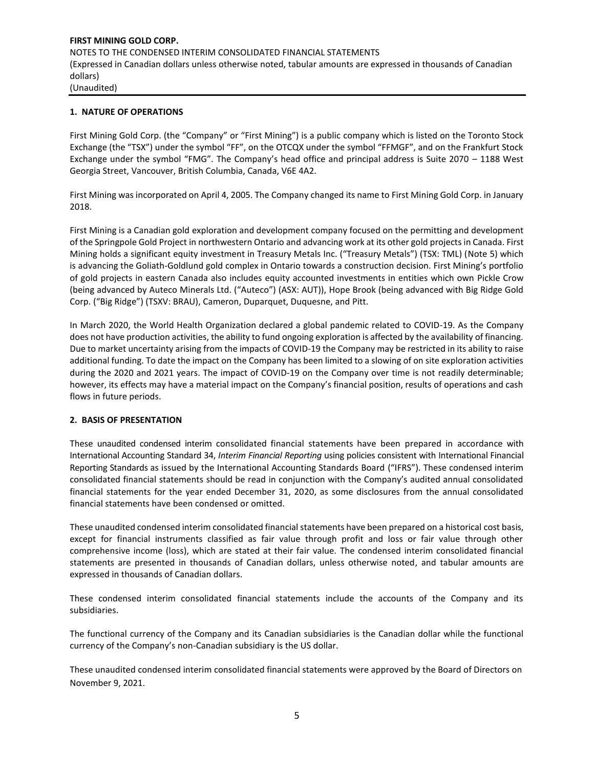## **1. NATURE OF OPERATIONS**

First Mining Gold Corp. (the "Company" or "First Mining") is a public company which is listed on the Toronto Stock Exchange (the "TSX") under the symbol "FF", on the OTCQX under the symbol "FFMGF", and on the Frankfurt Stock Exchange under the symbol "FMG". The Company's head office and principal address is Suite 2070 – 1188 West Georgia Street, Vancouver, British Columbia, Canada, V6E 4A2.

First Mining was incorporated on April 4, 2005. The Company changed its name to First Mining Gold Corp. in January 2018.

First Mining is a Canadian gold exploration and development company focused on the permitting and development of the Springpole Gold Project in northwestern Ontario and advancing work at its other gold projects in Canada. First Mining holds a significant equity investment in Treasury Metals Inc. ("Treasury Metals") (TSX: TML) (Note 5) which is advancing the Goliath-Goldlund gold complex in Ontario towards a construction decision. First Mining's portfolio of gold projects in eastern Canada also includes equity accounted investments in entities which own Pickle Crow (being advanced by Auteco Minerals Ltd. ("Auteco") (ASX: AUT)), Hope Brook (being advanced with Big Ridge Gold Corp. ("Big Ridge") (TSXV: BRAU), Cameron, Duparquet, Duquesne, and Pitt.

In March 2020, the World Health Organization declared a global pandemic related to COVID-19. As the Company does not have production activities, the ability to fund ongoing exploration is affected by the availability of financing. Due to market uncertainty arising from the impacts of COVID-19 the Company may be restricted in its ability to raise additional funding. To date the impact on the Company has been limited to a slowing of on site exploration activities during the 2020 and 2021 years. The impact of COVID-19 on the Company over time is not readily determinable; however, its effects may have a material impact on the Company's financial position, results of operations and cash flows in future periods.

#### **2. BASIS OF PRESENTATION**

These unaudited condensed interim consolidated financial statements have been prepared in accordance with International Accounting Standard 34, *Interim Financial Reporting* using policies consistent with International Financial Reporting Standards as issued by the International Accounting Standards Board ("IFRS"). These condensed interim consolidated financial statements should be read in conjunction with the Company's audited annual consolidated financial statements for the year ended December 31, 2020, as some disclosures from the annual consolidated financial statements have been condensed or omitted.

These unaudited condensed interim consolidated financial statements have been prepared on a historical cost basis, except for financial instruments classified as fair value through profit and loss or fair value through other comprehensive income (loss), which are stated at their fair value. The condensed interim consolidated financial statements are presented in thousands of Canadian dollars, unless otherwise noted, and tabular amounts are expressed in thousands of Canadian dollars.

These condensed interim consolidated financial statements include the accounts of the Company and its subsidiaries.

The functional currency of the Company and its Canadian subsidiaries is the Canadian dollar while the functional currency of the Company's non-Canadian subsidiary is the US dollar.

These unaudited condensed interim consolidated financial statements were approved by the Board of Directors on November 9, 2021.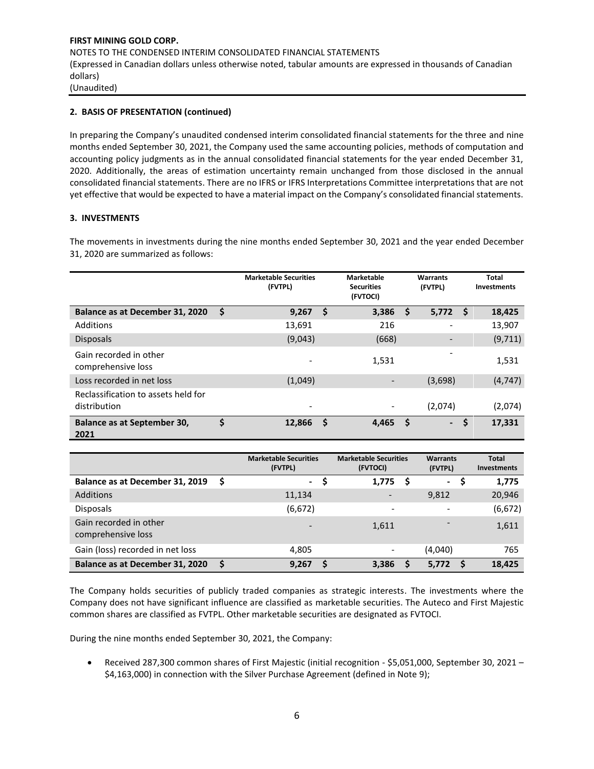# **2. BASIS OF PRESENTATION (continued)**

In preparing the Company's unaudited condensed interim consolidated financial statements for the three and nine months ended September 30, 2021, the Company used the same accounting policies, methods of computation and accounting policy judgments as in the annual consolidated financial statements for the year ended December 31, 2020. Additionally, the areas of estimation uncertainty remain unchanged from those disclosed in the annual consolidated financial statements. There are no IFRS or IFRS Interpretations Committee interpretations that are not yet effective that would be expected to have a material impact on the Company's consolidated financial statements.

# **3. INVESTMENTS**

The movements in investments during the nine months ended September 30, 2021 and the year ended December 31, 2020 are summarized as follows:

|                                                     |     | <b>Marketable Securities</b><br>(FVTPL) | <b>Marketable</b><br><b>Securities</b><br>(FVTOCI) |    | <b>Warrants</b><br>(FVTPL) |    | <b>Total</b><br><b>Investments</b> |
|-----------------------------------------------------|-----|-----------------------------------------|----------------------------------------------------|----|----------------------------|----|------------------------------------|
| Balance as at December 31, 2020                     | -\$ | 9,267                                   | \$<br>3,386                                        | \$ | 5,772                      | -S | 18,425                             |
| Additions                                           |     | 13,691                                  | 216                                                |    | -                          |    | 13,907                             |
| <b>Disposals</b>                                    |     | (9,043)                                 | (668)                                              |    |                            |    | (9,711)                            |
| Gain recorded in other<br>comprehensive loss        |     |                                         | 1,531                                              |    |                            |    | 1,531                              |
| Loss recorded in net loss                           |     | (1,049)                                 |                                                    |    | (3,698)                    |    | (4, 747)                           |
| Reclassification to assets held for<br>distribution |     | -                                       |                                                    |    | (2,074)                    |    | (2,074)                            |
| Balance as at September 30,<br>2021                 | \$  | 12,866                                  | \$<br>4,465                                        | S  | $\overline{\phantom{a}}$   | \$ | 17,331                             |

|                                              |   | <b>Marketable Securities</b><br>(FVTPL) |   | <b>Marketable Securities</b><br>(FVTOCI) |   | <b>Warrants</b><br>(FVTPL) |   | <b>Total</b><br><b>Investments</b> |
|----------------------------------------------|---|-----------------------------------------|---|------------------------------------------|---|----------------------------|---|------------------------------------|
| Balance as at December 31, 2019              | S | -                                       |   | 1,775                                    | S | $\blacksquare$             | э | 1,775                              |
| <b>Additions</b>                             |   | 11,134                                  |   |                                          |   | 9,812                      |   | 20,946                             |
| <b>Disposals</b>                             |   | (6, 672)                                |   | ۰                                        |   |                            |   | (6, 672)                           |
| Gain recorded in other<br>comprehensive loss |   |                                         |   | 1,611                                    |   |                            |   | 1,611                              |
| Gain (loss) recorded in net loss             |   | 4,805                                   |   | $\qquad \qquad \blacksquare$             |   | (4,040)                    |   | 765                                |
| Balance as at December 31, 2020              | S | 9.267                                   | S | 3,386                                    |   | 5,772                      | S | 18,425                             |

The Company holds securities of publicly traded companies as strategic interests. The investments where the Company does not have significant influence are classified as marketable securities. The Auteco and First Majestic common shares are classified as FVTPL. Other marketable securities are designated as FVTOCI.

During the nine months ended September 30, 2021, the Company:

• Received 287,300 common shares of First Majestic (initial recognition - \$5,051,000, September 30, 2021 – \$4,163,000) in connection with the Silver Purchase Agreement (defined in Note 9);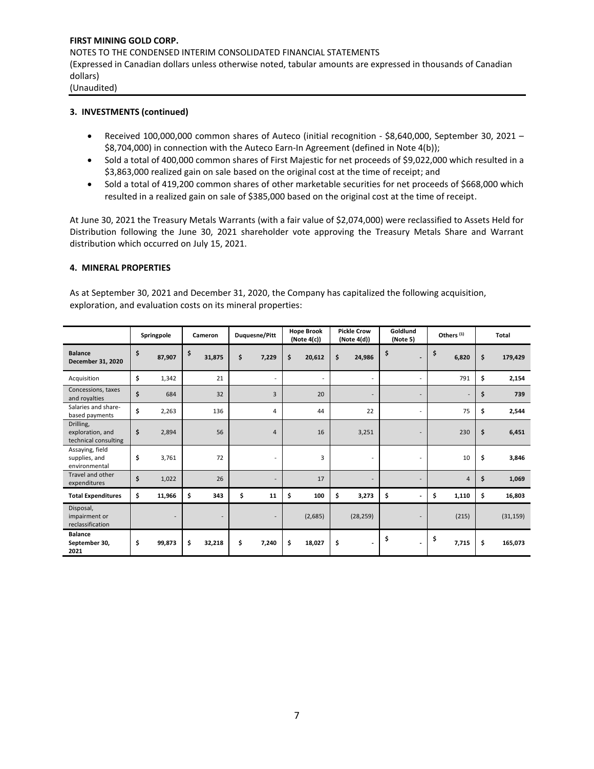## **3. INVESTMENTS (continued)**

- Received 100,000,000 common shares of Auteco (initial recognition \$8,640,000, September 30, 2021 \$8,704,000) in connection with the Auteco Earn-In Agreement (defined in Note 4(b));
- Sold a total of 400,000 common shares of First Majestic for net proceeds of \$9,022,000 which resulted in a \$3,863,000 realized gain on sale based on the original cost at the time of receipt; and
- Sold a total of 419,200 common shares of other marketable securities for net proceeds of \$668,000 which resulted in a realized gain on sale of \$385,000 based on the original cost at the time of receipt.

At June 30, 2021 the Treasury Metals Warrants (with a fair value of \$2,074,000) were reclassified to Assets Held for Distribution following the June 30, 2021 shareholder vote approving the Treasury Metals Share and Warrant distribution which occurred on July 15, 2021.

#### **4. MINERAL PROPERTIES**

As at September 30, 2021 and December 31, 2020, the Company has capitalized the following acquisition, exploration, and evaluation costs on its mineral properties:

|                                                       | Springpole   | Cameron      | Duquesne/Pitt  | <b>Hope Brook</b><br>(Note 4(c)) | <b>Pickle Crow</b><br>(Note 4(d))  | Goldlund<br>(Note 5)           | Others <sup>(1)</sup> | Total |           |
|-------------------------------------------------------|--------------|--------------|----------------|----------------------------------|------------------------------------|--------------------------------|-----------------------|-------|-----------|
| <b>Balance</b><br>December 31, 2020                   | \$<br>87,907 | \$<br>31,875 | \$<br>7,229    | \$<br>20,612                     | \$<br>24,986                       | \$<br>$\overline{\phantom{a}}$ | \$<br>6,820           | \$    | 179,429   |
| Acquisition                                           | \$<br>1,342  | 21           | ٠              |                                  |                                    | ٠                              | 791                   | \$    | 2,154     |
| Concessions, taxes<br>and royalties                   | \$<br>684    | 32           | 3              | 20                               | ÷                                  | $\overline{\phantom{a}}$       | ۰                     | \$    | 739       |
| Salaries and share-<br>based payments                 | \$<br>2,263  | 136          | 4              | 44                               | 22                                 | $\overline{\phantom{a}}$       | 75                    | \$    | 2,544     |
| Drilling,<br>exploration, and<br>technical consulting | \$<br>2,894  | 56           | $\overline{4}$ | 16                               | 3,251                              | $\overline{a}$                 | 230                   | \$    | 6,451     |
| Assaying, field<br>supplies, and<br>environmental     | \$<br>3,761  | 72           | ÷              | 3                                |                                    | $\overline{a}$                 | 10                    | \$    | 3,846     |
| Travel and other<br>expenditures                      | \$<br>1,022  | 26           |                | 17                               |                                    | $\overline{\phantom{a}}$       | $\overline{4}$        | \$    | 1,069     |
| <b>Total Expenditures</b>                             | \$<br>11,966 | \$<br>343    | \$<br>11       | \$<br>100                        | \$<br>3,273                        | \$<br>$\overline{a}$           | \$<br>1,110           | \$    | 16,803    |
| Disposal,<br>impairment or<br>reclassification        |              | ۰            | ٠              | (2,685)                          | (28, 259)                          | $\overline{\phantom{a}}$       | (215)                 |       | (31, 159) |
| <b>Balance</b><br>September 30,<br>2021               | \$<br>99,873 | \$<br>32,218 | \$<br>7,240    | \$<br>18,027                     | \$<br>$\qquad \qquad \blacksquare$ | \$<br>$\overline{\phantom{a}}$ | \$<br>7,715           | \$    | 165,073   |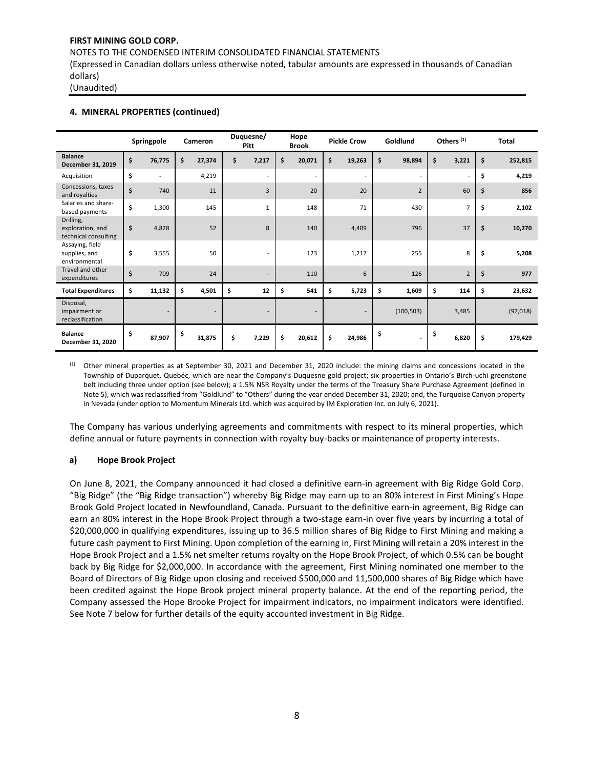NOTES TO THE CONDENSED INTERIM CONSOLIDATED FINANCIAL STATEMENTS

(Expressed in Canadian dollars unless otherwise noted, tabular amounts are expressed in thousands of Canadian dollars)

(Unaudited)

#### **4. MINERAL PROPERTIES (continued)**

|                                                       | Springpole                     | Cameron                  | Duquesne/<br>Pitt        | Hope<br><b>Brook</b>     | <b>Pickle Crow</b>       | Goldlund                       | Others <sup>(1)</sup> | <b>Total</b>  |
|-------------------------------------------------------|--------------------------------|--------------------------|--------------------------|--------------------------|--------------------------|--------------------------------|-----------------------|---------------|
| <b>Balance</b><br>December 31, 2019                   | \$<br>76,775                   | \$<br>27,374             | \$<br>7,217              | \$<br>20,071             | \$<br>19,263             | \$<br>98,894                   | \$<br>3,221           | \$<br>252,815 |
| Acquisition                                           | \$<br>$\overline{\phantom{a}}$ | 4,219                    |                          | $\overline{\phantom{a}}$ | $\overline{\phantom{a}}$ | $\overline{\phantom{a}}$       | ٠                     | \$<br>4,219   |
| Concessions, taxes<br>and royalties                   | \$<br>740                      | 11                       | 3                        | 20                       | 20                       | $\overline{2}$                 | 60                    | \$<br>856     |
| Salaries and share-<br>based payments                 | \$<br>1,300                    | 145                      | $\mathbf{1}$             | 148                      | 71                       | 430                            | 7                     | \$<br>2,102   |
| Drilling,<br>exploration, and<br>technical consulting | \$<br>4,828                    | 52                       | 8                        | 140                      | 4,409                    | 796                            | 37                    | \$<br>10,270  |
| Assaying, field<br>supplies, and<br>environmental     | \$<br>3,555                    | 50                       |                          | 123                      | 1,217                    | 255                            | 8                     | \$<br>5,208   |
| Travel and other<br>expenditures                      | \$<br>709                      | 24                       |                          | 110                      | 6                        | 126                            | $\overline{2}$        | \$<br>977     |
| <b>Total Expenditures</b>                             | \$<br>11,132                   | \$<br>4,501              | \$<br>12                 | \$<br>541                | \$<br>5,723              | \$<br>1,609                    | \$<br>114             | \$<br>23,632  |
| Disposal,<br>impairment or<br>reclassification        | $\overline{\phantom{a}}$       | $\overline{\phantom{a}}$ | $\overline{\phantom{a}}$ | $\blacksquare$           | $\overline{\phantom{a}}$ | (100, 503)                     | 3,485                 | (97, 018)     |
| <b>Balance</b><br>December 31, 2020                   | \$<br>87,907                   | \$<br>31,875             | \$<br>7,229              | \$<br>20,612             | \$<br>24,986             | \$<br>$\overline{\phantom{a}}$ | \$<br>6,820           | \$<br>179,429 |

 $<sup>(1)</sup>$  Other mineral properties as at September 30, 2021 and December 31, 2020 include: the mining claims and concessions located in the</sup> Township of Duparquet, Quebéc, which are near the Company's Duquesne gold project; six properties in Ontario's Birch-uchi greenstone belt including three under option (see below); a 1.5% NSR Royalty under the terms of the Treasury Share Purchase Agreement (defined in Note 5), which was reclassified from "Goldlund" to "Others" during the year ended December 31, 2020; and, the Turquoise Canyon property in Nevada (under option to Momentum Minerals Ltd. which was acquired by IM Exploration Inc. on July 6, 2021).

The Company has various underlying agreements and commitments with respect to its mineral properties, which define annual or future payments in connection with royalty buy-backs or maintenance of property interests.

## **a) Hope Brook Project**

On June 8, 2021, the Company announced it had closed a definitive earn-in agreement with Big Ridge Gold Corp. "Big Ridge" (the "Big Ridge transaction") whereby Big Ridge may earn up to an 80% interest in First Mining's Hope Brook Gold Project located in Newfoundland, Canada. Pursuant to the definitive earn-in agreement, Big Ridge can earn an 80% interest in the Hope Brook Project through a two-stage earn-in over five years by incurring a total of \$20,000,000 in qualifying expenditures, issuing up to 36.5 million shares of Big Ridge to First Mining and making a future cash payment to First Mining. Upon completion of the earning in, First Mining will retain a 20% interest in the Hope Brook Project and a 1.5% net smelter returns royalty on the Hope Brook Project, of which 0.5% can be bought back by Big Ridge for \$2,000,000. In accordance with the agreement, First Mining nominated one member to the Board of Directors of Big Ridge upon closing and received \$500,000 and 11,500,000 shares of Big Ridge which have been credited against the Hope Brook project mineral property balance. At the end of the reporting period, the Company assessed the Hope Brooke Project for impairment indicators, no impairment indicators were identified. See Note 7 below for further details of the equity accounted investment in Big Ridge.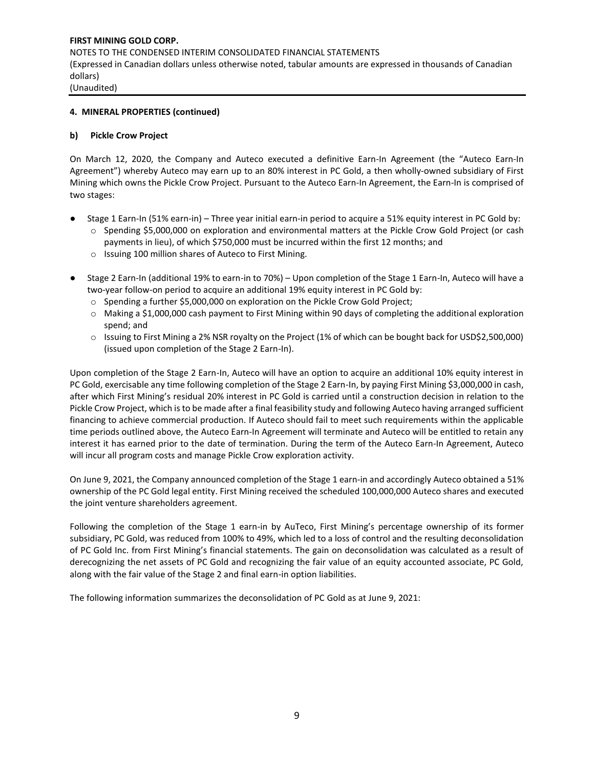## **4. MINERAL PROPERTIES (continued)**

#### **b) Pickle Crow Project**

On March 12, 2020, the Company and Auteco executed a definitive Earn-In Agreement (the "Auteco Earn-In Agreement") whereby Auteco may earn up to an 80% interest in PC Gold, a then wholly-owned subsidiary of First Mining which owns the Pickle Crow Project. Pursuant to the Auteco Earn-In Agreement, the Earn-In is comprised of two stages:

- Stage 1 Earn-In (51% earn-in) Three year initial earn-in period to acquire a 51% equity interest in PC Gold by:
	- o Spending \$5,000,000 on exploration and environmental matters at the Pickle Crow Gold Project (or cash payments in lieu), of which \$750,000 must be incurred within the first 12 months; and
	- o Issuing 100 million shares of Auteco to First Mining.
- Stage 2 Earn-In (additional 19% to earn-in to 70%) Upon completion of the Stage 1 Earn-In, Auteco will have a two-year follow-on period to acquire an additional 19% equity interest in PC Gold by:
	- o Spending a further \$5,000,000 on exploration on the Pickle Crow Gold Project;
	- o Making a \$1,000,000 cash payment to First Mining within 90 days of completing the additional exploration spend; and
	- o Issuing to First Mining a 2% NSR royalty on the Project (1% of which can be bought back for USD\$2,500,000) (issued upon completion of the Stage 2 Earn-In).

Upon completion of the Stage 2 Earn-In, Auteco will have an option to acquire an additional 10% equity interest in PC Gold, exercisable any time following completion of the Stage 2 Earn-In, by paying First Mining \$3,000,000 in cash, after which First Mining's residual 20% interest in PC Gold is carried until a construction decision in relation to the Pickle Crow Project, which is to be made after a final feasibility study and following Auteco having arranged sufficient financing to achieve commercial production. If Auteco should fail to meet such requirements within the applicable time periods outlined above, the Auteco Earn-In Agreement will terminate and Auteco will be entitled to retain any interest it has earned prior to the date of termination. During the term of the Auteco Earn-In Agreement, Auteco will incur all program costs and manage Pickle Crow exploration activity.

On June 9, 2021, the Company announced completion of the Stage 1 earn-in and accordingly Auteco obtained a 51% ownership of the PC Gold legal entity. First Mining received the scheduled 100,000,000 Auteco shares and executed the joint venture shareholders agreement.

Following the completion of the Stage 1 earn-in by AuTeco, First Mining's percentage ownership of its former subsidiary, PC Gold, was reduced from 100% to 49%, which led to a loss of control and the resulting deconsolidation of PC Gold Inc. from First Mining's financial statements. The gain on deconsolidation was calculated as a result of derecognizing the net assets of PC Gold and recognizing the fair value of an equity accounted associate, PC Gold, along with the fair value of the Stage 2 and final earn-in option liabilities.

The following information summarizes the deconsolidation of PC Gold as at June 9, 2021: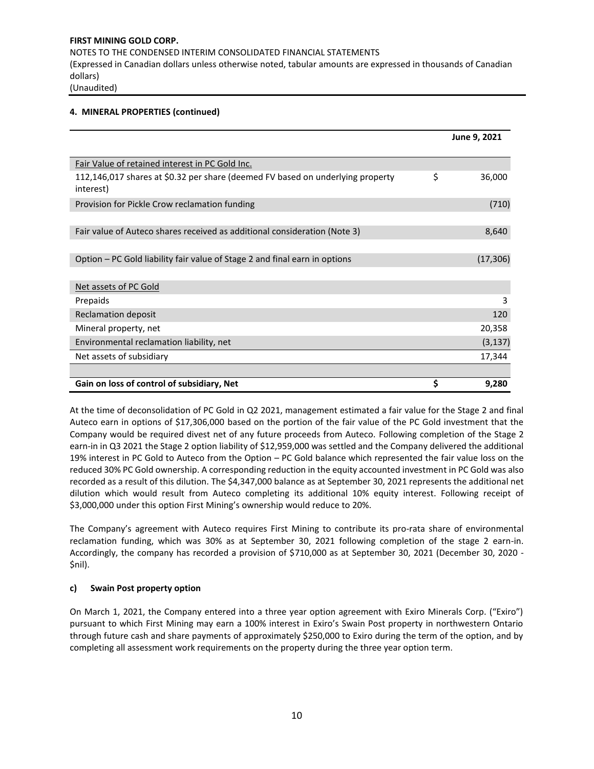# **4. MINERAL PROPERTIES (continued)**

|                                                                                             | June 9, 2021 |
|---------------------------------------------------------------------------------------------|--------------|
| Fair Value of retained interest in PC Gold Inc.                                             |              |
| 112,146,017 shares at \$0.32 per share (deemed FV based on underlying property<br>interest) | \$<br>36,000 |
| Provision for Pickle Crow reclamation funding                                               | (710)        |
|                                                                                             |              |
| Fair value of Auteco shares received as additional consideration (Note 3)                   | 8,640        |
|                                                                                             |              |
| Option – PC Gold liability fair value of Stage 2 and final earn in options                  | (17, 306)    |
|                                                                                             |              |
| Net assets of PC Gold                                                                       |              |
| Prepaids                                                                                    | 3            |
| Reclamation deposit                                                                         | 120          |
| Mineral property, net                                                                       | 20,358       |
| Environmental reclamation liability, net                                                    | (3, 137)     |
| Net assets of subsidiary                                                                    | 17,344       |
|                                                                                             |              |
| Gain on loss of control of subsidiary, Net                                                  | \$<br>9,280  |

At the time of deconsolidation of PC Gold in Q2 2021, management estimated a fair value for the Stage 2 and final Auteco earn in options of \$17,306,000 based on the portion of the fair value of the PC Gold investment that the Company would be required divest net of any future proceeds from Auteco. Following completion of the Stage 2 earn-in in Q3 2021 the Stage 2 option liability of \$12,959,000 was settled and the Company delivered the additional 19% interest in PC Gold to Auteco from the Option – PC Gold balance which represented the fair value loss on the reduced 30% PC Gold ownership. A corresponding reduction in the equity accounted investment in PC Gold was also recorded as a result of this dilution. The \$4,347,000 balance as at September 30, 2021 represents the additional net dilution which would result from Auteco completing its additional 10% equity interest. Following receipt of \$3,000,000 under this option First Mining's ownership would reduce to 20%.

The Company's agreement with Auteco requires First Mining to contribute its pro-rata share of environmental reclamation funding, which was 30% as at September 30, 2021 following completion of the stage 2 earn-in. Accordingly, the company has recorded a provision of \$710,000 as at September 30, 2021 (December 30, 2020 - \$nil).

## **c) Swain Post property option**

On March 1, 2021, the Company entered into a three year option agreement with Exiro Minerals Corp. ("Exiro") pursuant to which First Mining may earn a 100% interest in Exiro's Swain Post property in northwestern Ontario through future cash and share payments of approximately \$250,000 to Exiro during the term of the option, and by completing all assessment work requirements on the property during the three year option term.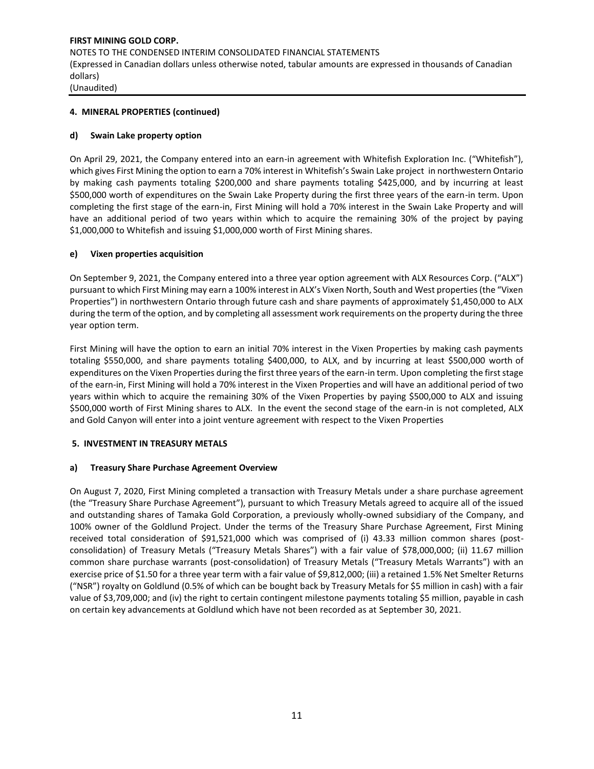## **4. MINERAL PROPERTIES (continued)**

#### **d) Swain Lake property option**

On April 29, 2021, the Company entered into an earn-in agreement with Whitefish Exploration Inc. ("Whitefish"), which gives First Mining the option to earn a 70% interest in Whitefish's Swain Lake project in northwestern Ontario by making cash payments totaling \$200,000 and share payments totaling \$425,000, and by incurring at least \$500,000 worth of expenditures on the Swain Lake Property during the first three years of the earn-in term. Upon completing the first stage of the earn-in, First Mining will hold a 70% interest in the Swain Lake Property and will have an additional period of two years within which to acquire the remaining 30% of the project by paying \$1,000,000 to Whitefish and issuing \$1,000,000 worth of First Mining shares.

#### **e) Vixen properties acquisition**

On September 9, 2021, the Company entered into a three year option agreement with ALX Resources Corp. ("ALX") pursuant to which First Mining may earn a 100% interest in ALX's Vixen North, South and West properties (the "Vixen Properties") in northwestern Ontario through future cash and share payments of approximately \$1,450,000 to ALX during the term of the option, and by completing all assessment work requirements on the property during the three year option term.

First Mining will have the option to earn an initial 70% interest in the Vixen Properties by making cash payments totaling \$550,000, and share payments totaling \$400,000, to ALX, and by incurring at least \$500,000 worth [of](https://can01.safelinks.protection.outlook.com/?url=https%3A%2F%2Ffirstminingfinance.sharepoint.com%2Fsites%2Fffdata%2FInvestor%2520Relations%2FNews%2520Releases%2F2021%2F04.29%2520Swain%2520Property%2520Option%2F04.29%2520Springpole_Exiro_Whitefishimage.jpg&data=04%7C01%7CVeronica%40firstmininggold.com%7C1d2ae2f8238d481a464b08d9931d0ac3%7C3564d7a87e774cf9aee2f8fb0795b85e%7C0%7C0%7C637702575203344283%7CUnknown%7CTWFpbGZsb3d8eyJWIjoiMC4wLjAwMDAiLCJQIjoiV2luMzIiLCJBTiI6Ik1haWwiLCJXVCI6Mn0%3D%7C1000&sdata=P6eKKp1pFn3GGBo1bNq%2FHTdpe8CrMQiGL7HLL77AGlg%3D&reserved=0)  [expenditures on the Vixen Properties during the first three years of the earn-in term. Upon completing](https://can01.safelinks.protection.outlook.com/?url=https%3A%2F%2Ffirstminingfinance.sharepoint.com%2Fsites%2Fffdata%2FInvestor%2520Relations%2FNews%2520Releases%2F2021%2F04.29%2520Swain%2520Property%2520Option%2F04.29%2520Springpole_Exiro_Whitefishimage.jpg&data=04%7C01%7CVeronica%40firstmininggold.com%7C1d2ae2f8238d481a464b08d9931d0ac3%7C3564d7a87e774cf9aee2f8fb0795b85e%7C0%7C0%7C637702575203344283%7CUnknown%7CTWFpbGZsb3d8eyJWIjoiMC4wLjAwMDAiLCJQIjoiV2luMzIiLCJBTiI6Ik1haWwiLCJXVCI6Mn0%3D%7C1000&sdata=P6eKKp1pFn3GGBo1bNq%2FHTdpe8CrMQiGL7HLL77AGlg%3D&reserved=0) the first stage of the earn-in, First Mining will hold a 70% interest in the Vixen Properties and will have an additional period of two years within which to acquire the remaining 30% of the Vixen Properties by paying \$500,000 to ALX and issuing \$500,000 worth of First Mining shares to ALX. In the event the second stage of the earn-in is not completed, ALX and Gold Canyon will enter into a joint venture agreement with respect to the Vixen Properties

#### **5. INVESTMENT IN TREASURY METALS**

#### **a) Treasury Share Purchase Agreement Overview**

On August 7, 2020, First Mining completed a transaction with Treasury Metals under a share purchase agreement (the "Treasury Share Purchase Agreement"), pursuant to which Treasury Metals agreed to acquire all of the issued and outstanding shares of Tamaka Gold Corporation, a previously wholly-owned subsidiary of the Company, and 100% owner of the Goldlund Project. Under the terms of the Treasury Share Purchase Agreement, First Mining received total consideration of \$91,521,000 which was comprised of (i) 43.33 million common shares (postconsolidation) of Treasury Metals ("Treasury Metals Shares") with a fair value of \$78,000,000; (ii) 11.67 million common share purchase warrants (post-consolidation) of Treasury Metals ("Treasury Metals Warrants") with an exercise price of \$1.50 for a three year term with a fair value of \$9,812,000; (iii) a retained 1.5% Net Smelter Returns ("NSR") royalty on Goldlund (0.5% of which can be bought back by Treasury Metals for \$5 million in cash) with a fair value of \$3,709,000; and (iv) the right to certain contingent milestone payments totaling \$5 million, payable in cash on certain key advancements at Goldlund which have not been recorded as at September 30, 2021.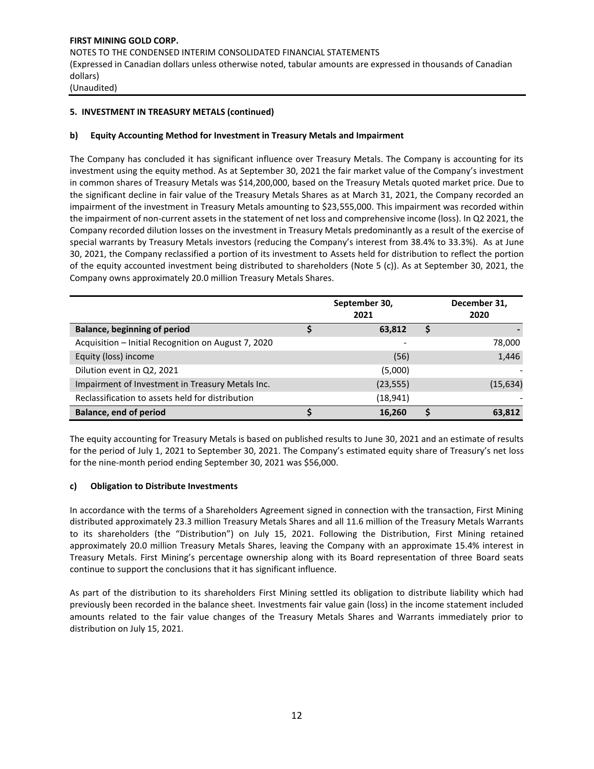# **5. INVESTMENT IN TREASURY METALS (continued)**

## **b) Equity Accounting Method for Investment in Treasury Metals and Impairment**

The Company has concluded it has significant influence over Treasury Metals. The Company is accounting for its investment using the equity method. As at September 30, 2021 the fair market value of the Company's investment in common shares of Treasury Metals was \$14,200,000, based on the Treasury Metals quoted market price. Due to the significant decline in fair value of the Treasury Metals Shares as at March 31, 2021, the Company recorded an impairment of the investment in Treasury Metals amounting to \$23,555,000. This impairment was recorded within the impairment of non-current assets in the statement of net loss and comprehensive income (loss). In Q2 2021, the Company recorded dilution losses on the investment in Treasury Metals predominantly as a result of the exercise of special warrants by Treasury Metals investors (reducing the Company's interest from 38.4% to 33.3%). As at June 30, 2021, the Company reclassified a portion of its investment to Assets held for distribution to reflect the portion of the equity accounted investment being distributed to shareholders (Note 5 (c)). As at September 30, 2021, the Company owns approximately 20.0 million Treasury Metals Shares.

|                                                     | September 30,<br>2021 | December 31,<br>2020 |           |
|-----------------------------------------------------|-----------------------|----------------------|-----------|
| <b>Balance, beginning of period</b>                 | 63,812                |                      |           |
| Acquisition - Initial Recognition on August 7, 2020 |                       |                      | 78,000    |
| Equity (loss) income                                | (56)                  |                      | 1,446     |
| Dilution event in Q2, 2021                          | (5,000)               |                      |           |
| Impairment of Investment in Treasury Metals Inc.    | (23, 555)             |                      | (15, 634) |
| Reclassification to assets held for distribution    | (18,941)              |                      |           |
| <b>Balance, end of period</b>                       | 16,260                |                      | 63,812    |

The equity accounting for Treasury Metals is based on published results to June 30, 2021 and an estimate of results for the period of July 1, 2021 to September 30, 2021. The Company's estimated equity share of Treasury's net loss for the nine-month period ending September 30, 2021 was \$56,000.

## **c) Obligation to Distribute Investments**

In accordance with the terms of a Shareholders Agreement signed in connection with the transaction, First Mining distributed approximately 23.3 million Treasury Metals Shares and all 11.6 million of the Treasury Metals Warrants to its shareholders (the "Distribution") on July 15, 2021. Following the Distribution, First Mining retained approximately 20.0 million Treasury Metals Shares, leaving the Company with an approximate 15.4% interest in Treasury Metals. First Mining's percentage ownership along with its Board representation of three Board seats continue to support the conclusions that it has significant influence.

As part of the distribution to its shareholders First Mining settled its obligation to distribute liability which had previously been recorded in the balance sheet. Investments fair value gain (loss) in the income statement included amounts related to the fair value changes of the Treasury Metals Shares and Warrants immediately prior to distribution on July 15, 2021.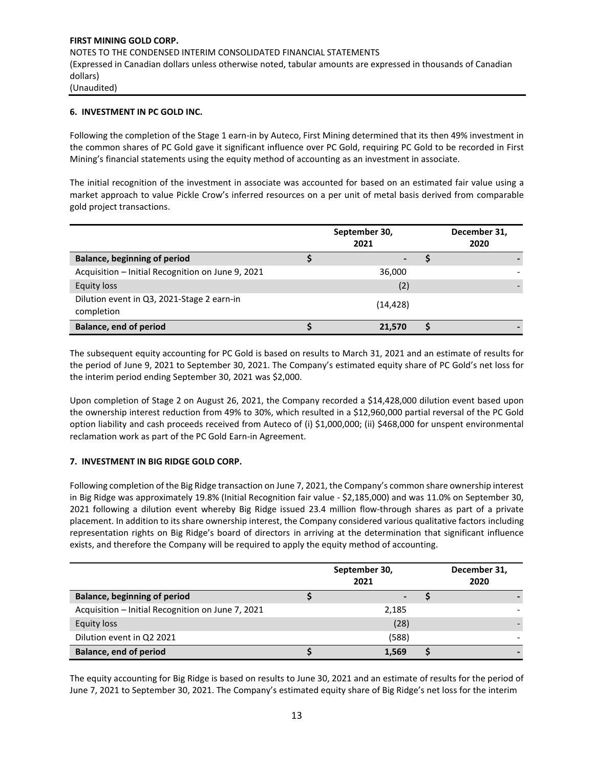## **6. INVESTMENT IN PC GOLD INC.**

Following the completion of the Stage 1 earn-in by Auteco, First Mining determined that its then 49% investment in the common shares of PC Gold gave it significant influence over PC Gold, requiring PC Gold to be recorded in First Mining's financial statements using the equity method of accounting as an investment in associate.

The initial recognition of the investment in associate was accounted for based on an estimated fair value using a market approach to value Pickle Crow's inferred resources on a per unit of metal basis derived from comparable gold project transactions.

|                                                          | September 30,<br>2021 | December 31,<br>2020 |  |
|----------------------------------------------------------|-----------------------|----------------------|--|
| Balance, beginning of period                             |                       |                      |  |
| Acquisition - Initial Recognition on June 9, 2021        | 36,000                |                      |  |
| <b>Equity loss</b>                                       | (2)                   |                      |  |
| Dilution event in Q3, 2021-Stage 2 earn-in<br>completion | (14, 428)             |                      |  |
| <b>Balance, end of period</b>                            | 21.570                |                      |  |

The subsequent equity accounting for PC Gold is based on results to March 31, 2021 and an estimate of results for the period of June 9, 2021 to September 30, 2021. The Company's estimated equity share of PC Gold's net loss for the interim period ending September 30, 2021 was \$2,000.

Upon completion of Stage 2 on August 26, 2021, the Company recorded a \$14,428,000 dilution event based upon the ownership interest reduction from 49% to 30%, which resulted in a \$12,960,000 partial reversal of the PC Gold option liability and cash proceeds received from Auteco of (i) \$1,000,000; (ii) \$468,000 for unspent environmental reclamation work as part of the PC Gold Earn-in Agreement.

## **7. INVESTMENT IN BIG RIDGE GOLD CORP.**

Following completion of the Big Ridge transaction on June 7, 2021, the Company's common share ownership interest in Big Ridge was approximately 19.8% (Initial Recognition fair value - \$2,185,000) and was 11.0% on September 30, 2021 following a dilution event whereby Big Ridge issued 23.4 million flow-through shares as part of a private placement. In addition to its share ownership interest, the Company considered various qualitative factors including representation rights on Big Ridge's board of directors in arriving at the determination that significant influence exists, and therefore the Company will be required to apply the equity method of accounting.

|                                                   | September 30,<br>2021 | December 31,<br>2020 |  |
|---------------------------------------------------|-----------------------|----------------------|--|
| <b>Balance, beginning of period</b>               |                       |                      |  |
| Acquisition - Initial Recognition on June 7, 2021 | 2,185                 |                      |  |
| Equity loss                                       | (28)                  |                      |  |
| Dilution event in Q2 2021                         | (588)                 |                      |  |
| <b>Balance, end of period</b>                     | 1,569                 |                      |  |

The equity accounting for Big Ridge is based on results to June 30, 2021 and an estimate of results for the period of June 7, 2021 to September 30, 2021. The Company's estimated equity share of Big Ridge's net loss for the interim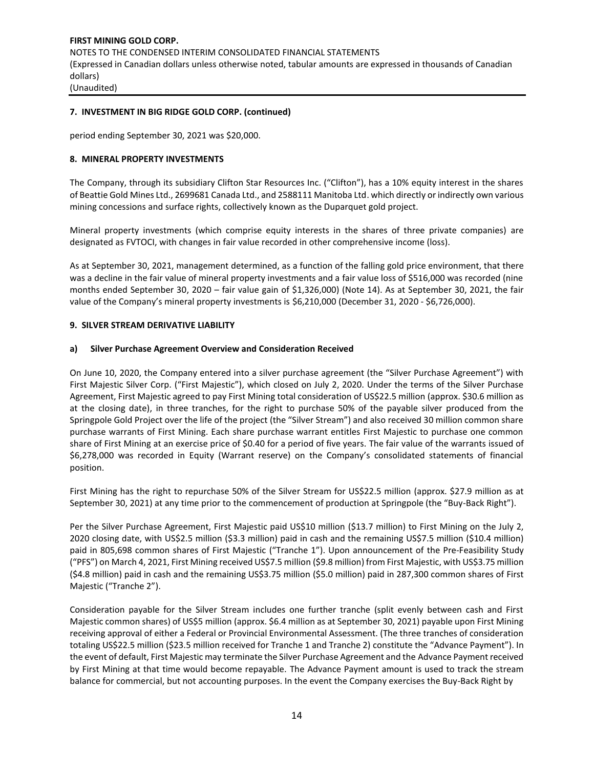## **7. INVESTMENT IN BIG RIDGE GOLD CORP. (continued)**

period ending September 30, 2021 was \$20,000.

## **8. MINERAL PROPERTY INVESTMENTS**

The Company, through its subsidiary Clifton Star Resources Inc. ("Clifton"), has a 10% equity interest in the shares of Beattie Gold Mines Ltd., 2699681 Canada Ltd., and 2588111 Manitoba Ltd. which directly or indirectly own various mining concessions and surface rights, collectively known as the Duparquet gold project.

Mineral property investments (which comprise equity interests in the shares of three private companies) are designated as FVTOCI, with changes in fair value recorded in other comprehensive income (loss).

As at September 30, 2021, management determined, as a function of the falling gold price environment, that there was a decline in the fair value of mineral property investments and a fair value loss of \$516,000 was recorded (nine months ended September 30, 2020 – fair value gain of \$1,326,000) (Note 14). As at September 30, 2021, the fair value of the Company's mineral property investments is \$6,210,000 (December 31, 2020 - \$6,726,000).

#### **9. SILVER STREAM DERIVATIVE LIABILITY**

#### **a) Silver Purchase Agreement Overview and Consideration Received**

On June 10, 2020, the Company entered into a silver purchase agreement (the "Silver Purchase Agreement") with First Majestic Silver Corp. ("First Majestic"), which closed on July 2, 2020. Under the terms of the Silver Purchase Agreement, First Majestic agreed to pay First Mining total consideration of US\$22.5 million (approx. \$30.6 million as at the closing date), in three tranches, for the right to purchase 50% of the payable silver produced from the Springpole Gold Project over the life of the project (the "Silver Stream") and also received 30 million common share purchase warrants of First Mining. Each share purchase warrant entitles First Majestic to purchase one common share of First Mining at an exercise price of \$0.40 for a period of five years. The fair value of the warrants issued of \$6,278,000 was recorded in Equity (Warrant reserve) on the Company's consolidated statements of financial position.

First Mining has the right to repurchase 50% of the Silver Stream for US\$22.5 million (approx. \$27.9 million as at September 30, 2021) at any time prior to the commencement of production at Springpole (the "Buy-Back Right").

Per the Silver Purchase Agreement, First Majestic paid US\$10 million (\$13.7 million) to First Mining on the July 2, 2020 closing date, with US\$2.5 million (\$3.3 million) paid in cash and the remaining US\$7.5 million (\$10.4 million) paid in 805,698 common shares of First Majestic ("Tranche 1"). Upon announcement of the Pre-Feasibility Study ("PFS") on March 4, 2021, First Mining received US\$7.5 million (\$9.8 million) from First Majestic, with US\$3.75 million (\$4.8 million) paid in cash and the remaining US\$3.75 million (\$5.0 million) paid in 287,300 common shares of First Majestic ("Tranche 2").

Consideration payable for the Silver Stream includes one further tranche (split evenly between cash and First Majestic common shares) of US\$5 million (approx. \$6.4 million as at September 30, 2021) payable upon First Mining receiving approval of either a Federal or Provincial Environmental Assessment. (The three tranches of consideration totaling US\$22.5 million (\$23.5 million received for Tranche 1 and Tranche 2) constitute the "Advance Payment"). In the event of default, First Majestic may terminate the Silver Purchase Agreement and the Advance Payment received by First Mining at that time would become repayable. The Advance Payment amount is used to track the stream balance for commercial, but not accounting purposes. In the event the Company exercises the Buy-Back Right by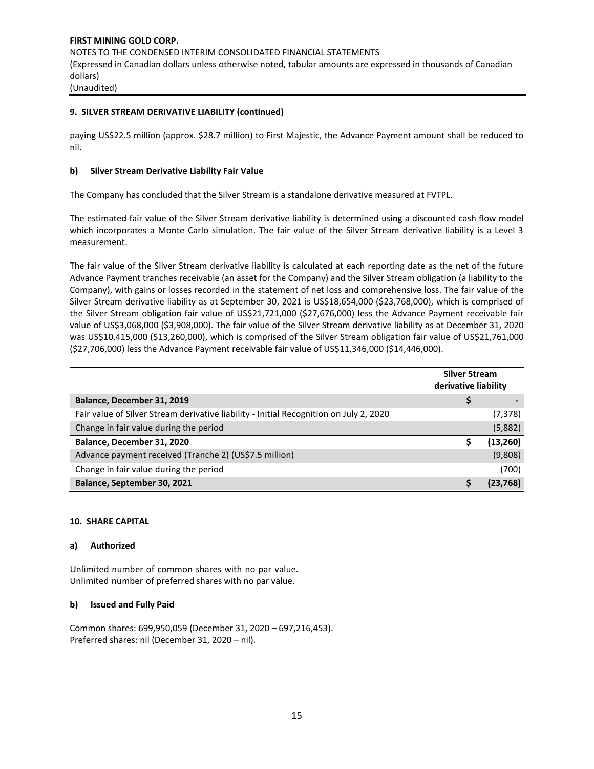# **9. SILVER STREAM DERIVATIVE LIABILITY (continued)**

paying US\$22.5 million (approx. \$28.7 million) to First Majestic, the Advance Payment amount shall be reduced to nil.

# **b) Silver Stream Derivative Liability Fair Value**

The Company has concluded that the Silver Stream is a standalone derivative measured at FVTPL.

The estimated fair value of the Silver Stream derivative liability is determined using a discounted cash flow model which incorporates a Monte Carlo simulation. The fair value of the Silver Stream derivative liability is a Level 3 measurement.

The fair value of the Silver Stream derivative liability is calculated at each reporting date as the net of the future Advance Payment tranches receivable (an asset for the Company) and the Silver Stream obligation (a liability to the Company), with gains or losses recorded in the statement of net loss and comprehensive loss. The fair value of the Silver Stream derivative liability as at September 30, 2021 is US\$18,654,000 (\$23,768,000), which is comprised of the Silver Stream obligation fair value of US\$21,721,000 (\$27,676,000) less the Advance Payment receivable fair value of US\$3,068,000 (\$3,908,000). The fair value of the Silver Stream derivative liability as at December 31, 2020 was US\$10,415,000 (\$13,260,000), which is comprised of the Silver Stream obligation fair value of US\$21,761,000 (\$27,706,000) less the Advance Payment receivable fair value of US\$11,346,000 (\$14,446,000).

|                                                                                        | <b>Silver Stream</b><br>derivative liability |           |
|----------------------------------------------------------------------------------------|----------------------------------------------|-----------|
| Balance, December 31, 2019                                                             |                                              |           |
| Fair value of Silver Stream derivative liability - Initial Recognition on July 2, 2020 |                                              | (7, 378)  |
| Change in fair value during the period                                                 |                                              | (5,882)   |
| Balance, December 31, 2020                                                             |                                              | (13, 260) |
| Advance payment received (Tranche 2) (US\$7.5 million)                                 |                                              | (9,808)   |
| Change in fair value during the period                                                 |                                              | (700)     |
| Balance, September 30, 2021                                                            |                                              | (23.768)  |

## **10. SHARE CAPITAL**

## **a) Authorized**

Unlimited number of common shares with no par value. Unlimited number of preferred shares with no par value.

#### **b) Issued and Fully Paid**

Common shares: 699,950,059 (December 31, 2020 – 697,216,453). Preferred shares: nil (December 31, 2020 – nil).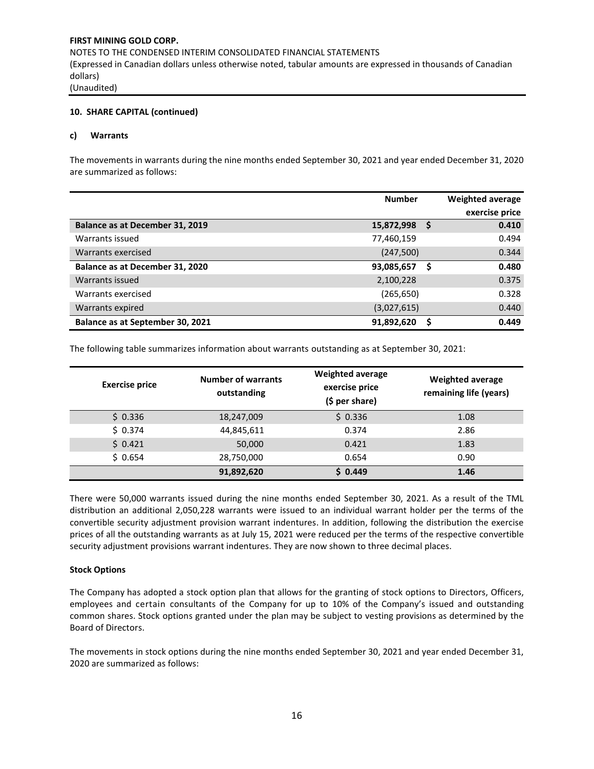## **10. SHARE CAPITAL (continued)**

#### **c) Warrants**

The movements in warrants during the nine months ended September 30, 2021 and year ended December 31, 2020 are summarized as follows:

|                                  | <b>Number</b> |   | <b>Weighted average</b> |
|----------------------------------|---------------|---|-------------------------|
|                                  |               |   | exercise price          |
| Balance as at December 31, 2019  | 15,872,998    | S | 0.410                   |
| Warrants issued                  | 77,460,159    |   | 0.494                   |
| Warrants exercised               | (247,500)     |   | 0.344                   |
| Balance as at December 31, 2020  | 93,085,657    | S | 0.480                   |
| Warrants issued                  | 2,100,228     |   | 0.375                   |
| Warrants exercised               | (265, 650)    |   | 0.328                   |
| Warrants expired                 | (3,027,615)   |   | 0.440                   |
| Balance as at September 30, 2021 | 91,892,620    |   | 0.449                   |

The following table summarizes information about warrants outstanding as at September 30, 2021:

| <b>Exercise price</b> | <b>Number of warrants</b><br>outstanding | <b>Weighted average</b><br>exercise price<br>(\$ per share) | <b>Weighted average</b><br>remaining life (years) |
|-----------------------|------------------------------------------|-------------------------------------------------------------|---------------------------------------------------|
| \$0.336               | 18,247,009                               | \$0.336                                                     | 1.08                                              |
| \$0.374               | 44,845,611                               | 0.374                                                       | 2.86                                              |
| \$0.421               | 50,000                                   | 0.421                                                       | 1.83                                              |
| \$0.654               | 28,750,000                               | 0.654                                                       | 0.90                                              |
|                       | 91,892,620                               | \$0.449                                                     | 1.46                                              |

There were 50,000 warrants issued during the nine months ended September 30, 2021. As a result of the TML distribution an additional 2,050,228 warrants were issued to an individual warrant holder per the terms of the convertible security adjustment provision warrant indentures. In addition, following the distribution the exercise prices of all the outstanding warrants as at July 15, 2021 were reduced per the terms of the respective convertible security adjustment provisions warrant indentures. They are now shown to three decimal places.

#### **Stock Options**

The Company has adopted a stock option plan that allows for the granting of stock options to Directors, Officers, employees and certain consultants of the Company for up to 10% of the Company's issued and outstanding common shares. Stock options granted under the plan may be subject to vesting provisions as determined by the Board of Directors.

The movements in stock options during the nine months ended September 30, 2021 and year ended December 31, 2020 are summarized as follows: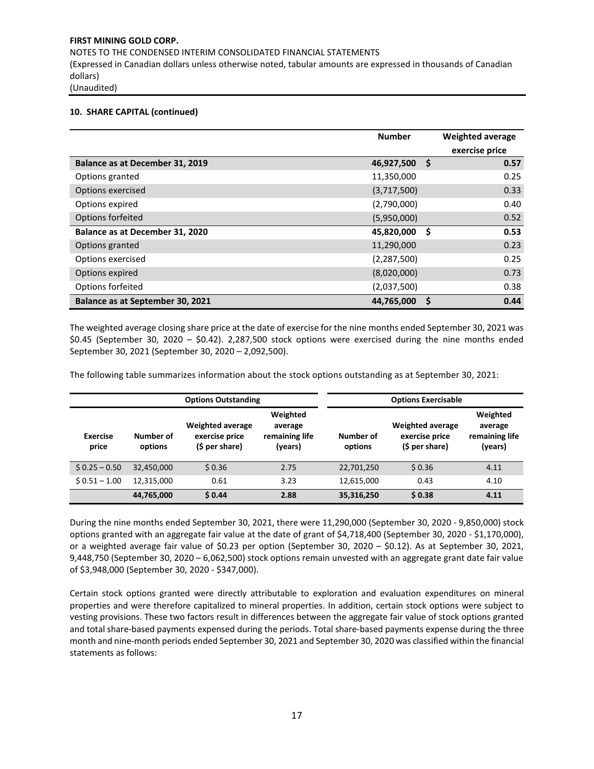## **10. SHARE CAPITAL (continued)**

|                                  | <b>Number</b> |    | <b>Weighted average</b><br>exercise price |
|----------------------------------|---------------|----|-------------------------------------------|
| Balance as at December 31, 2019  | 46,927,500    | Ŝ  | 0.57                                      |
| Options granted                  | 11,350,000    |    | 0.25                                      |
| Options exercised                | (3,717,500)   |    | 0.33                                      |
| Options expired                  | (2,790,000)   |    | 0.40                                      |
| Options forfeited                | (5,950,000)   |    | 0.52                                      |
| Balance as at December 31, 2020  | 45,820,000    | \$ | 0.53                                      |
| Options granted                  | 11,290,000    |    | 0.23                                      |
| Options exercised                | (2, 287, 500) |    | 0.25                                      |
| Options expired                  | (8,020,000)   |    | 0.73                                      |
| Options forfeited                | (2,037,500)   |    | 0.38                                      |
| Balance as at September 30, 2021 | 44,765,000    |    | 0.44                                      |

The weighted average closing share price at the date of exercise for the nine months ended September 30, 2021 was \$0.45 (September 30, 2020 – \$0.42). 2,287,500 stock options were exercised during the nine months ended September 30, 2021 (September 30, 2020 – 2,092,500).

The following table summarizes information about the stock options outstanding as at September 30, 2021:

|                          |                      | <b>Options Outstanding</b>                                  | <b>Options Exercisable</b>                       |                      |                                                             |                                                  |
|--------------------------|----------------------|-------------------------------------------------------------|--------------------------------------------------|----------------------|-------------------------------------------------------------|--------------------------------------------------|
| <b>Exercise</b><br>price | Number of<br>options | <b>Weighted average</b><br>exercise price<br>(\$ per share) | Weighted<br>average<br>remaining life<br>(years) | Number of<br>options | <b>Weighted average</b><br>exercise price<br>(\$ per share) | Weighted<br>average<br>remaining life<br>(years) |
| $$0.25 - 0.50$           | 32,450,000           | \$0.36                                                      | 2.75                                             | 22,701,250           | \$0.36                                                      | 4.11                                             |
| $$0.51 - 1.00$           | 12.315.000           | 0.61                                                        | 3.23                                             | 12,615,000           | 0.43                                                        | 4.10                                             |
|                          | 44,765,000           | \$0.44                                                      | 2.88                                             | 35,316,250           | \$0.38                                                      | 4.11                                             |

During the nine months ended September 30, 2021, there were 11,290,000 (September 30, 2020 - 9,850,000) stock options granted with an aggregate fair value at the date of grant of \$4,718,400 (September 30, 2020 - \$1,170,000), or a weighted average fair value of \$0.23 per option (September 30, 2020 – \$0.12). As at September 30, 2021, 9,448,750 (September 30, 2020 – 6,062,500) stock options remain unvested with an aggregate grant date fair value of \$3,948,000 (September 30, 2020 - \$347,000).

Certain stock options granted were directly attributable to exploration and evaluation expenditures on mineral properties and were therefore capitalized to mineral properties. In addition, certain stock options were subject to vesting provisions. These two factors result in differences between the aggregate fair value of stock options granted and total share-based payments expensed during the periods. Total share-based payments expense during the three month and nine-month periods ended September 30, 2021 and September 30, 2020 was classified within the financial statements as follows: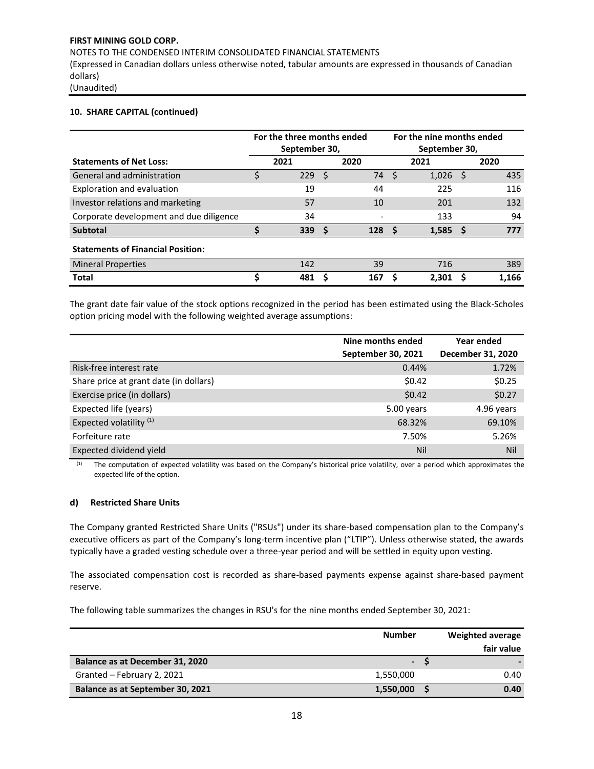NOTES TO THE CONDENSED INTERIM CONSOLIDATED FINANCIAL STATEMENTS

(Expressed in Canadian dollars unless otherwise noted, tabular amounts are expressed in thousands of Canadian dollars)

(Unaudited)

## **10. SHARE CAPITAL (continued)**

|                                          | For the three months ended<br>September 30, |      |      | For the nine months ended<br>September 30, |              |       |    |       |
|------------------------------------------|---------------------------------------------|------|------|--------------------------------------------|--------------|-------|----|-------|
| <b>Statements of Net Loss:</b>           |                                             | 2021 |      | 2020                                       |              | 2021  |    | 2020  |
| General and administration               |                                             | 229  | - \$ | 74                                         | <sup>S</sup> | 1,026 | S  | 435   |
| Exploration and evaluation               |                                             | 19   |      | 44                                         |              | 225   |    | 116   |
| Investor relations and marketing         |                                             | 57   |      | 10                                         |              | 201   |    | 132   |
| Corporate development and due diligence  |                                             | 34   |      |                                            |              | 133   |    | 94    |
| <b>Subtotal</b>                          | S                                           | 339  | - S  | 128                                        |              | 1,585 | -S | 777   |
| <b>Statements of Financial Position:</b> |                                             |      |      |                                            |              |       |    |       |
| <b>Mineral Properties</b>                |                                             | 142  |      | 39                                         |              | 716   |    | 389   |
| <b>Total</b>                             | S                                           | 481  | S    | 167                                        |              | 2,301 |    | 1,166 |

The grant date fair value of the stock options recognized in the period has been estimated using the Black-Scholes option pricing model with the following weighted average assumptions:

|                                        | Nine months ended  | Year ended        |
|----------------------------------------|--------------------|-------------------|
|                                        | September 30, 2021 | December 31, 2020 |
| Risk-free interest rate                | 0.44%              | 1.72%             |
| Share price at grant date (in dollars) | \$0.42             | \$0.25            |
| Exercise price (in dollars)            | \$0.42             | \$0.27            |
| Expected life (years)                  | 5.00 years         | 4.96 years        |
| Expected volatility <sup>(1)</sup>     | 68.32%             | 69.10%            |
| Forfeiture rate                        | 7.50%              | 5.26%             |
| Expected dividend yield                | Nil                | <b>Nil</b>        |

(1) The computation of expected volatility was based on the Company's historical price volatility, over a period which approximates the expected life of the option.

## **d) Restricted Share Units**

The Company granted Restricted Share Units ("RSUs") under its share-based compensation plan to the Company's executive officers as part of the Company's long-term incentive plan ("LTIP"). Unless otherwise stated, the awards typically have a graded vesting schedule over a three-year period and will be settled in equity upon vesting.

The associated compensation cost is recorded as share-based payments expense against share-based payment reserve.

The following table summarizes the changes in RSU's for the nine months ended September 30, 2021:

|                                  | <b>Number</b>  | <b>Weighted average</b><br>fair value |
|----------------------------------|----------------|---------------------------------------|
| Balance as at December 31, 2020  | $\blacksquare$ |                                       |
| Granted - February 2, 2021       | 1,550,000      | 0.40                                  |
| Balance as at September 30, 2021 | 1,550,000      | 0.40                                  |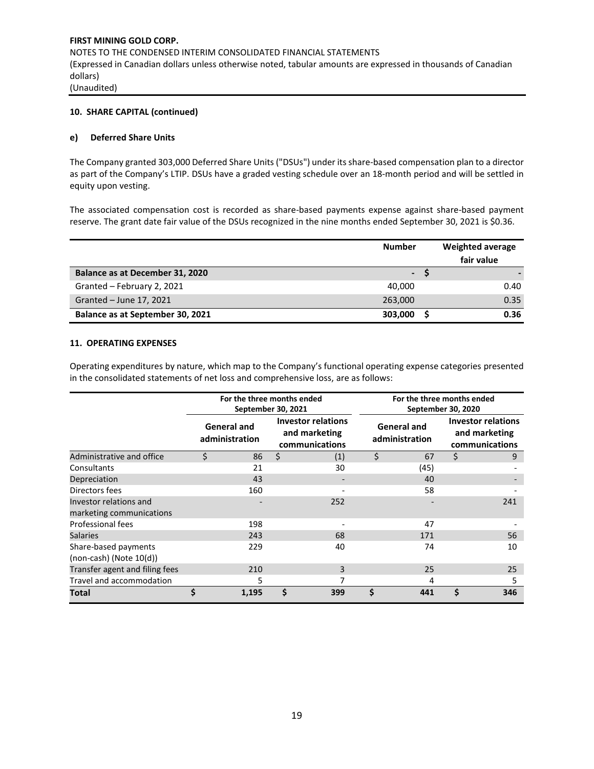## **10. SHARE CAPITAL (continued)**

#### **e) Deferred Share Units**

The Company granted 303,000 Deferred Share Units ("DSUs") under its share-based compensation plan to a director as part of the Company's LTIP. DSUs have a graded vesting schedule over an 18-month period and will be settled in equity upon vesting.

The associated compensation cost is recorded as share-based payments expense against share-based payment reserve. The grant date fair value of the DSUs recognized in the nine months ended September 30, 2021 is \$0.36.

|                                  | <b>Number</b>            | Weighted average |
|----------------------------------|--------------------------|------------------|
|                                  |                          | fair value       |
| Balance as at December 31, 2020  | $\overline{\phantom{a}}$ |                  |
| Granted - February 2, 2021       | 40.000                   | 0.40             |
| Granted - June 17, 2021          | 263,000                  | 0.35             |
| Balance as at September 30, 2021 | 303,000                  | 0.36             |

#### **11. OPERATING EXPENSES**

Operating expenditures by nature, which map to the Company's functional operating expense categories presented in the consolidated statements of net loss and comprehensive loss, are as follows:

|                                                      | For the three months ended<br>September 30, 2021 |       |                                                              |     |    | For the three months ended<br>September 30, 2020 |    |                                                              |  |  |
|------------------------------------------------------|--------------------------------------------------|-------|--------------------------------------------------------------|-----|----|--------------------------------------------------|----|--------------------------------------------------------------|--|--|
|                                                      | <b>General and</b><br>administration             |       | <b>Investor relations</b><br>and marketing<br>communications |     |    | <b>General and</b><br>administration             |    | <b>Investor relations</b><br>and marketing<br>communications |  |  |
| Administrative and office                            | \$                                               | 86    | \$                                                           | (1) | \$ | 67                                               | \$ | 9                                                            |  |  |
| Consultants                                          |                                                  | 21    |                                                              | 30  |    | (45)                                             |    |                                                              |  |  |
| Depreciation                                         |                                                  | 43    |                                                              |     |    | 40                                               |    |                                                              |  |  |
| Directors fees                                       |                                                  | 160   |                                                              |     |    | 58                                               |    |                                                              |  |  |
| Investor relations and<br>marketing communications   |                                                  |       |                                                              | 252 |    |                                                  |    | 241                                                          |  |  |
| Professional fees                                    |                                                  | 198   |                                                              |     |    | 47                                               |    |                                                              |  |  |
| <b>Salaries</b>                                      |                                                  | 243   |                                                              | 68  |    | 171                                              |    | 56                                                           |  |  |
| Share-based payments<br>$(non-cash)$ (Note $10(d)$ ) |                                                  | 229   |                                                              | 40  |    | 74                                               |    | 10                                                           |  |  |
| Transfer agent and filing fees                       |                                                  | 210   |                                                              | 3   |    | 25                                               |    | 25                                                           |  |  |
| Travel and accommodation                             |                                                  | 5     |                                                              |     |    | 4                                                |    | 5                                                            |  |  |
| Total                                                | \$                                               | 1,195 | Ś                                                            | 399 | Ś  | 441                                              | Ś  | 346                                                          |  |  |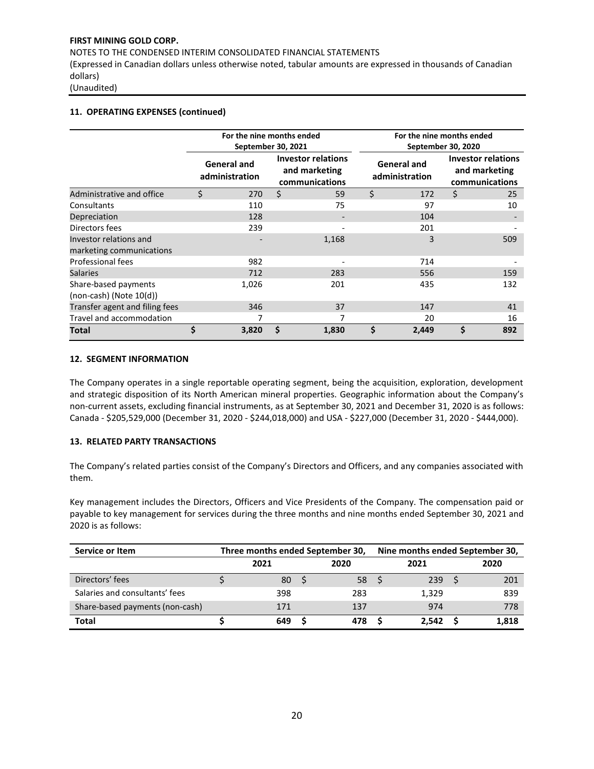NOTES TO THE CONDENSED INTERIM CONSOLIDATED FINANCIAL STATEMENTS

(Expressed in Canadian dollars unless otherwise noted, tabular amounts are expressed in thousands of Canadian dollars)

(Unaudited)

## **11. OPERATING EXPENSES (continued)**

|                                                      |                                      | For the nine months ended<br>September 30, 2021 |                                                              |       |                                      | For the nine months ended<br>September 30, 2020 |                                                              |     |  |  |
|------------------------------------------------------|--------------------------------------|-------------------------------------------------|--------------------------------------------------------------|-------|--------------------------------------|-------------------------------------------------|--------------------------------------------------------------|-----|--|--|
|                                                      | <b>General and</b><br>administration |                                                 | <b>Investor relations</b><br>and marketing<br>communications |       | <b>General and</b><br>administration |                                                 | <b>Investor relations</b><br>and marketing<br>communications |     |  |  |
| Administrative and office                            | Ś                                    | 270                                             | \$                                                           | 59    | \$                                   | 172                                             | Ś                                                            | 25  |  |  |
| Consultants                                          |                                      | 110                                             |                                                              | 75    |                                      | 97                                              |                                                              | 10  |  |  |
| Depreciation                                         |                                      | 128                                             |                                                              |       |                                      | 104                                             |                                                              |     |  |  |
| Directors fees                                       |                                      | 239                                             |                                                              |       |                                      | 201                                             |                                                              |     |  |  |
| Investor relations and<br>marketing communications   |                                      |                                                 |                                                              | 1,168 |                                      | 3                                               |                                                              | 509 |  |  |
| Professional fees                                    |                                      | 982                                             |                                                              |       |                                      | 714                                             |                                                              |     |  |  |
| <b>Salaries</b>                                      |                                      | 712                                             |                                                              | 283   |                                      | 556                                             |                                                              | 159 |  |  |
| Share-based payments<br>$(non-cash)$ (Note $10(d)$ ) |                                      | 1,026                                           |                                                              | 201   |                                      | 435                                             |                                                              | 132 |  |  |
| Transfer agent and filing fees                       |                                      | 346                                             |                                                              | 37    |                                      | 147                                             |                                                              | 41  |  |  |
| Travel and accommodation                             |                                      |                                                 |                                                              |       |                                      | 20                                              |                                                              | 16  |  |  |
| Total                                                | \$                                   | 3,820                                           |                                                              | 1,830 | \$                                   | 2,449                                           | \$                                                           | 892 |  |  |

#### **12. SEGMENT INFORMATION**

The Company operates in a single reportable operating segment, being the acquisition, exploration, development and strategic disposition of its North American mineral properties. Geographic information about the Company's non-current assets, excluding financial instruments, as at September 30, 2021 and December 31, 2020 is as follows: Canada - \$205,529,000 (December 31, 2020 - \$244,018,000) and USA - \$227,000 (December 31, 2020 - \$444,000).

## **13. RELATED PARTY TRANSACTIONS**

The Company's related parties consist of the Company's Directors and Officers, and any companies associated with them.

Key management includes the Directors, Officers and Vice Presidents of the Company. The compensation paid or payable to key management for services during the three months and nine months ended September 30, 2021 and 2020 is as follows:

| Service or Item                 | Three months ended September 30, |  | Nine months ended September 30, |  |       |  |       |
|---------------------------------|----------------------------------|--|---------------------------------|--|-------|--|-------|
|                                 | 2021                             |  | 2020                            |  | 2021  |  | 2020  |
| Directors' fees                 | 80                               |  | 58                              |  | 239   |  | 201   |
| Salaries and consultants' fees  | 398                              |  | 283                             |  | 1,329 |  | 839   |
| Share-based payments (non-cash) | 171                              |  | 137                             |  | 974   |  | 778   |
| <b>Total</b>                    | 649                              |  | 478                             |  | 2.542 |  | 1,818 |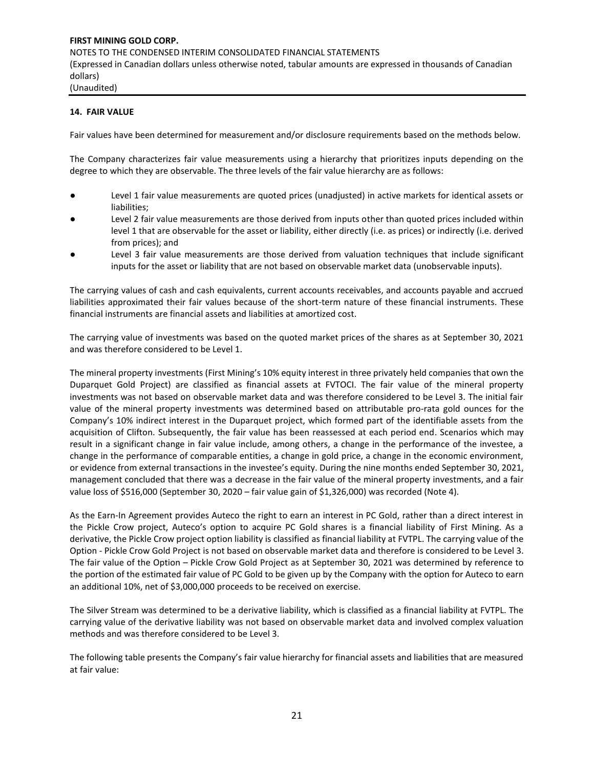#### **14. FAIR VALUE**

Fair values have been determined for measurement and/or disclosure requirements based on the methods below.

The Company characterizes fair value measurements using a hierarchy that prioritizes inputs depending on the degree to which they are observable. The three levels of the fair value hierarchy are as follows:

- Level 1 fair value measurements are quoted prices (unadjusted) in active markets for identical assets or liabilities;
- Level 2 fair value measurements are those derived from inputs other than quoted prices included within level 1 that are observable for the asset or liability, either directly (i.e. as prices) or indirectly (i.e. derived from prices); and
- Level 3 fair value measurements are those derived from valuation techniques that include significant inputs for the asset or liability that are not based on observable market data (unobservable inputs).

The carrying values of cash and cash equivalents, current accounts receivables, and accounts payable and accrued liabilities approximated their fair values because of the short-term nature of these financial instruments. These financial instruments are financial assets and liabilities at amortized cost.

The carrying value of investments was based on the quoted market prices of the shares as at September 30, 2021 and was therefore considered to be Level 1.

The mineral property investments (First Mining's 10% equity interest in three privately held companies that own the Duparquet Gold Project) are classified as financial assets at FVTOCI. The fair value of the mineral property investments was not based on observable market data and was therefore considered to be Level 3. The initial fair value of the mineral property investments was determined based on attributable pro-rata gold ounces for the Company's 10% indirect interest in the Duparquet project, which formed part of the identifiable assets from the acquisition of Clifton. Subsequently, the fair value has been reassessed at each period end. Scenarios which may result in a significant change in fair value include, among others, a change in the performance of the investee, a change in the performance of comparable entities, a change in gold price, a change in the economic environment, or evidence from external transactions in the investee's equity. During the nine months ended September 30, 2021, management concluded that there was a decrease in the fair value of the mineral property investments, and a fair value loss of \$516,000 (September 30, 2020 – fair value gain of \$1,326,000) was recorded (Note 4).

As the Earn‐In Agreement provides Auteco the right to earn an interest in PC Gold, rather than a direct interest in the Pickle Crow project, Auteco's option to acquire PC Gold shares is a financial liability of First Mining. As a derivative, the Pickle Crow project option liability is classified as financial liability at FVTPL. The carrying value of the Option - Pickle Crow Gold Project is not based on observable market data and therefore is considered to be Level 3. The fair value of the Option – Pickle Crow Gold Project as at September 30, 2021 was determined by reference to the portion of the estimated fair value of PC Gold to be given up by the Company with the option for Auteco to earn an additional 10%, net of \$3,000,000 proceeds to be received on exercise.

The Silver Stream was determined to be a derivative liability, which is classified as a financial liability at FVTPL. The carrying value of the derivative liability was not based on observable market data and involved complex valuation methods and was therefore considered to be Level 3.

The following table presents the Company's fair value hierarchy for financial assets and liabilities that are measured at fair value: